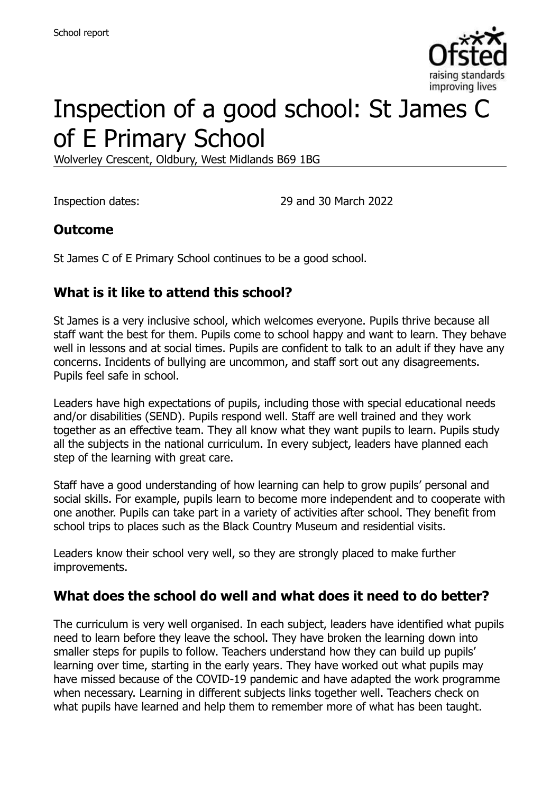

# Inspection of a good school: St James C of E Primary School

Wolverley Crescent, Oldbury, West Midlands B69 1BG

Inspection dates: 29 and 30 March 2022

#### **Outcome**

St James C of E Primary School continues to be a good school.

### **What is it like to attend this school?**

St James is a very inclusive school, which welcomes everyone. Pupils thrive because all staff want the best for them. Pupils come to school happy and want to learn. They behave well in lessons and at social times. Pupils are confident to talk to an adult if they have any concerns. Incidents of bullying are uncommon, and staff sort out any disagreements. Pupils feel safe in school.

Leaders have high expectations of pupils, including those with special educational needs and/or disabilities (SEND). Pupils respond well. Staff are well trained and they work together as an effective team. They all know what they want pupils to learn. Pupils study all the subjects in the national curriculum. In every subject, leaders have planned each step of the learning with great care.

Staff have a good understanding of how learning can help to grow pupils' personal and social skills. For example, pupils learn to become more independent and to cooperate with one another. Pupils can take part in a variety of activities after school. They benefit from school trips to places such as the Black Country Museum and residential visits.

Leaders know their school very well, so they are strongly placed to make further improvements.

#### **What does the school do well and what does it need to do better?**

The curriculum is very well organised. In each subject, leaders have identified what pupils need to learn before they leave the school. They have broken the learning down into smaller steps for pupils to follow. Teachers understand how they can build up pupils' learning over time, starting in the early years. They have worked out what pupils may have missed because of the COVID-19 pandemic and have adapted the work programme when necessary. Learning in different subjects links together well. Teachers check on what pupils have learned and help them to remember more of what has been taught.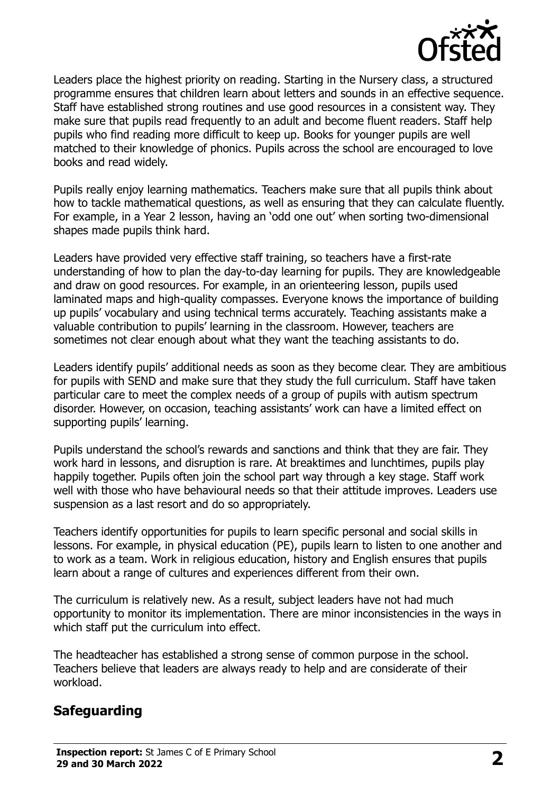

Leaders place the highest priority on reading. Starting in the Nursery class, a structured programme ensures that children learn about letters and sounds in an effective sequence. Staff have established strong routines and use good resources in a consistent way. They make sure that pupils read frequently to an adult and become fluent readers. Staff help pupils who find reading more difficult to keep up. Books for younger pupils are well matched to their knowledge of phonics. Pupils across the school are encouraged to love books and read widely.

Pupils really enjoy learning mathematics. Teachers make sure that all pupils think about how to tackle mathematical questions, as well as ensuring that they can calculate fluently. For example, in a Year 2 lesson, having an 'odd one out' when sorting two-dimensional shapes made pupils think hard.

Leaders have provided very effective staff training, so teachers have a first-rate understanding of how to plan the day-to-day learning for pupils. They are knowledgeable and draw on good resources. For example, in an orienteering lesson, pupils used laminated maps and high-quality compasses. Everyone knows the importance of building up pupils' vocabulary and using technical terms accurately. Teaching assistants make a valuable contribution to pupils' learning in the classroom. However, teachers are sometimes not clear enough about what they want the teaching assistants to do.

Leaders identify pupils' additional needs as soon as they become clear. They are ambitious for pupils with SEND and make sure that they study the full curriculum. Staff have taken particular care to meet the complex needs of a group of pupils with autism spectrum disorder. However, on occasion, teaching assistants' work can have a limited effect on supporting pupils' learning.

Pupils understand the school's rewards and sanctions and think that they are fair. They work hard in lessons, and disruption is rare. At breaktimes and lunchtimes, pupils play happily together. Pupils often join the school part way through a key stage. Staff work well with those who have behavioural needs so that their attitude improves. Leaders use suspension as a last resort and do so appropriately.

Teachers identify opportunities for pupils to learn specific personal and social skills in lessons. For example, in physical education (PE), pupils learn to listen to one another and to work as a team. Work in religious education, history and English ensures that pupils learn about a range of cultures and experiences different from their own.

The curriculum is relatively new. As a result, subject leaders have not had much opportunity to monitor its implementation. There are minor inconsistencies in the ways in which staff put the curriculum into effect.

The headteacher has established a strong sense of common purpose in the school. Teachers believe that leaders are always ready to help and are considerate of their workload.

#### **Safeguarding**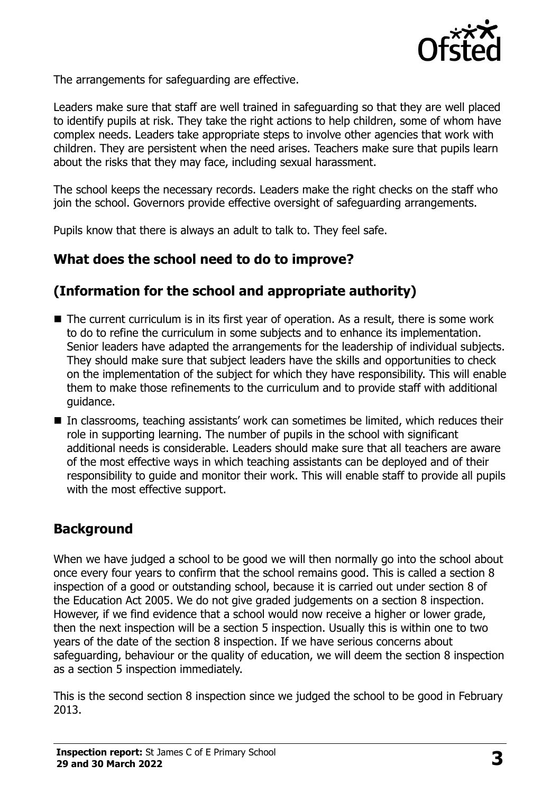

The arrangements for safeguarding are effective.

Leaders make sure that staff are well trained in safeguarding so that they are well placed to identify pupils at risk. They take the right actions to help children, some of whom have complex needs. Leaders take appropriate steps to involve other agencies that work with children. They are persistent when the need arises. Teachers make sure that pupils learn about the risks that they may face, including sexual harassment.

The school keeps the necessary records. Leaders make the right checks on the staff who join the school. Governors provide effective oversight of safeguarding arrangements.

Pupils know that there is always an adult to talk to. They feel safe.

# **What does the school need to do to improve?**

# **(Information for the school and appropriate authority)**

- The current curriculum is in its first year of operation. As a result, there is some work to do to refine the curriculum in some subjects and to enhance its implementation. Senior leaders have adapted the arrangements for the leadership of individual subjects. They should make sure that subject leaders have the skills and opportunities to check on the implementation of the subject for which they have responsibility. This will enable them to make those refinements to the curriculum and to provide staff with additional guidance.
- In classrooms, teaching assistants' work can sometimes be limited, which reduces their role in supporting learning. The number of pupils in the school with significant additional needs is considerable. Leaders should make sure that all teachers are aware of the most effective ways in which teaching assistants can be deployed and of their responsibility to guide and monitor their work. This will enable staff to provide all pupils with the most effective support.

# **Background**

When we have judged a school to be good we will then normally go into the school about once every four years to confirm that the school remains good. This is called a section 8 inspection of a good or outstanding school, because it is carried out under section 8 of the Education Act 2005. We do not give graded judgements on a section 8 inspection. However, if we find evidence that a school would now receive a higher or lower grade, then the next inspection will be a section 5 inspection. Usually this is within one to two years of the date of the section 8 inspection. If we have serious concerns about safeguarding, behaviour or the quality of education, we will deem the section 8 inspection as a section 5 inspection immediately.

This is the second section 8 inspection since we judged the school to be good in February 2013.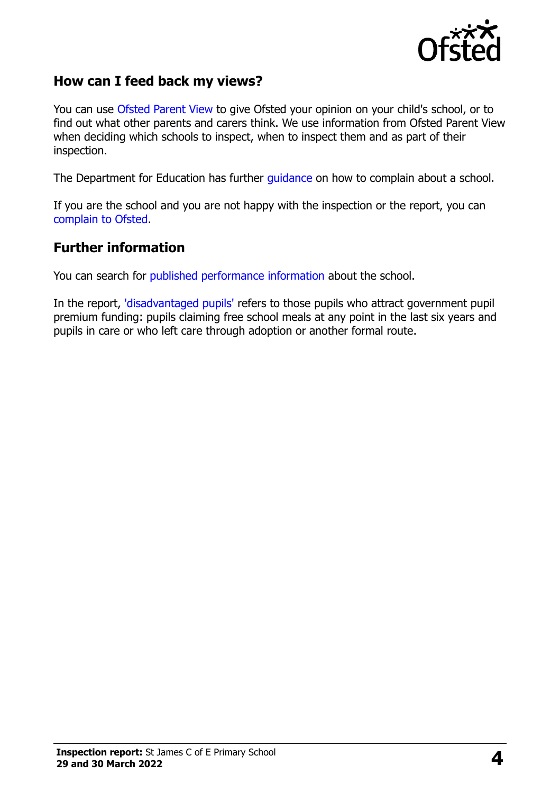

#### **How can I feed back my views?**

You can use [Ofsted Parent View](https://parentview.ofsted.gov.uk/) to give Ofsted your opinion on your child's school, or to find out what other parents and carers think. We use information from Ofsted Parent View when deciding which schools to inspect, when to inspect them and as part of their inspection.

The Department for Education has further [guidance](http://www.gov.uk/complain-about-school) on how to complain about a school.

If you are the school and you are not happy with the inspection or the report, you can [complain to Ofsted.](https://www.gov.uk/complain-ofsted-report)

#### **Further information**

You can search for [published performance information](http://www.compare-school-performance.service.gov.uk/) about the school.

In the report, ['disadvantaged pupils'](http://www.gov.uk/guidance/pupil-premium-information-for-schools-and-alternative-provision-settings) refers to those pupils who attract government pupil premium funding: pupils claiming free school meals at any point in the last six years and pupils in care or who left care through adoption or another formal route.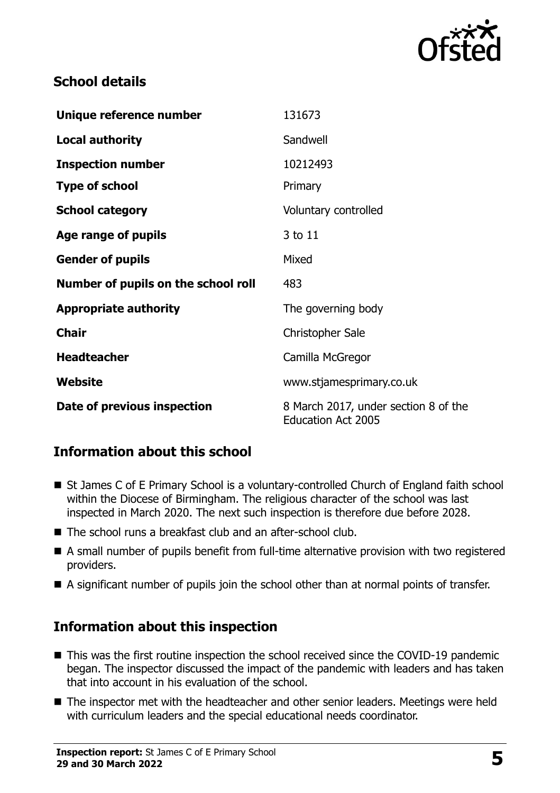

### **School details**

| Unique reference number             | 131673                                                            |
|-------------------------------------|-------------------------------------------------------------------|
| <b>Local authority</b>              | Sandwell                                                          |
| <b>Inspection number</b>            | 10212493                                                          |
| <b>Type of school</b>               | Primary                                                           |
| <b>School category</b>              | Voluntary controlled                                              |
| Age range of pupils                 | 3 to 11                                                           |
| <b>Gender of pupils</b>             | Mixed                                                             |
| Number of pupils on the school roll | 483                                                               |
| <b>Appropriate authority</b>        | The governing body                                                |
| <b>Chair</b>                        | <b>Christopher Sale</b>                                           |
| <b>Headteacher</b>                  | Camilla McGregor                                                  |
| Website                             | www.stjamesprimary.co.uk                                          |
| Date of previous inspection         | 8 March 2017, under section 8 of the<br><b>Education Act 2005</b> |

# **Information about this school**

- St James C of E Primary School is a voluntary-controlled Church of England faith school within the Diocese of Birmingham. The religious character of the school was last inspected in March 2020. The next such inspection is therefore due before 2028.
- The school runs a breakfast club and an after-school club.
- A small number of pupils benefit from full-time alternative provision with two registered providers.
- A significant number of pupils join the school other than at normal points of transfer.

# **Information about this inspection**

- This was the first routine inspection the school received since the COVID-19 pandemic began. The inspector discussed the impact of the pandemic with leaders and has taken that into account in his evaluation of the school.
- The inspector met with the headteacher and other senior leaders. Meetings were held with curriculum leaders and the special educational needs coordinator.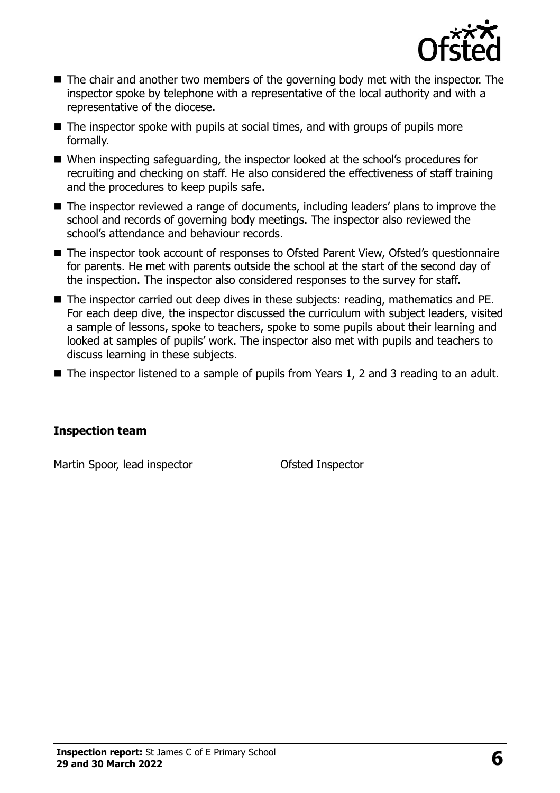

- The chair and another two members of the governing body met with the inspector. The inspector spoke by telephone with a representative of the local authority and with a representative of the diocese.
- $\blacksquare$  The inspector spoke with pupils at social times, and with groups of pupils more formally.
- When inspecting safeguarding, the inspector looked at the school's procedures for recruiting and checking on staff. He also considered the effectiveness of staff training and the procedures to keep pupils safe.
- The inspector reviewed a range of documents, including leaders' plans to improve the school and records of governing body meetings. The inspector also reviewed the school's attendance and behaviour records.
- The inspector took account of responses to Ofsted Parent View, Ofsted's questionnaire for parents. He met with parents outside the school at the start of the second day of the inspection. The inspector also considered responses to the survey for staff.
- The inspector carried out deep dives in these subiects: reading, mathematics and PE. For each deep dive, the inspector discussed the curriculum with subject leaders, visited a sample of lessons, spoke to teachers, spoke to some pupils about their learning and looked at samples of pupils' work. The inspector also met with pupils and teachers to discuss learning in these subjects.
- The inspector listened to a sample of pupils from Years 1, 2 and 3 reading to an adult.

#### **Inspection team**

Martin Spoor, lead inspector **Contact Contact Contact Contact Contact Contact Contact Contact Contact Contact Contact Contact Contact Contact Contact Contact Contact Contact Contact Contact Contact Contact Contact Contact**